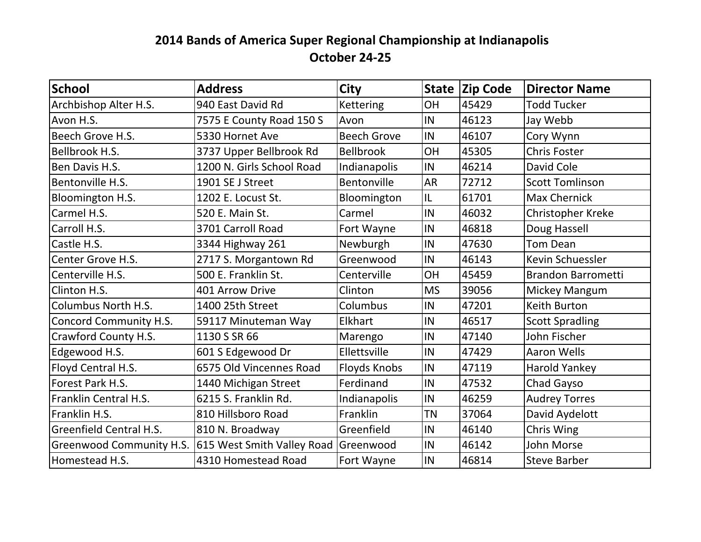## **2014 Bands of America Super Regional Championship at Indianapolis October 24-25**

| School                         | <b>Address</b>                       | <b>City</b>        |           | State Zip Code | <b>Director Name</b>      |
|--------------------------------|--------------------------------------|--------------------|-----------|----------------|---------------------------|
| Archbishop Alter H.S.          | 940 East David Rd                    | <b>Kettering</b>   | OH        | 45429          | <b>Todd Tucker</b>        |
| Avon H.S.                      | 7575 E County Road 150 S             | Avon               | IN        | 46123          | Jay Webb                  |
| Beech Grove H.S.               | 5330 Hornet Ave                      | <b>Beech Grove</b> | IN        | 46107          | Cory Wynn                 |
| Bellbrook H.S.                 | 3737 Upper Bellbrook Rd              | <b>Bellbrook</b>   | OH        | 45305          | <b>Chris Foster</b>       |
| Ben Davis H.S.                 | 1200 N. Girls School Road            | Indianapolis       | IN        | 46214          | David Cole                |
| Bentonville H.S.               | 1901 SE J Street                     | Bentonville        | <b>AR</b> | 72712          | <b>Scott Tomlinson</b>    |
| Bloomington H.S.               | 1202 E. Locust St.                   | Bloomington        | IL        | 61701          | <b>Max Chernick</b>       |
| Carmel H.S.                    | 520 E. Main St.                      | Carmel             | IN        | 46032          | Christopher Kreke         |
| Carroll H.S.                   | 3701 Carroll Road                    | Fort Wayne         | IN        | 46818          | Doug Hassell              |
| Castle H.S.                    | 3344 Highway 261                     | Newburgh           | IN        | 47630          | Tom Dean                  |
| Center Grove H.S.              | 2717 S. Morgantown Rd                | Greenwood          | IN        | 46143          | Kevin Schuessler          |
| Centerville H.S.               | 500 E. Franklin St.                  | Centerville        | OH        | 45459          | <b>Brandon Barrometti</b> |
| Clinton H.S.                   | 401 Arrow Drive                      | Clinton            | <b>MS</b> | 39056          | Mickey Mangum             |
| <b>Columbus North H.S.</b>     | 1400 25th Street                     | Columbus           | IN        | 47201          | Keith Burton              |
| Concord Community H.S.         | 59117 Minuteman Way                  | Elkhart            | IN        | 46517          | <b>Scott Spradling</b>    |
| Crawford County H.S.           | 1130 S SR 66                         | Marengo            | IN        | 47140          | John Fischer              |
| Edgewood H.S.                  | 601 S Edgewood Dr                    | Ellettsville       | IN        | 47429          | <b>Aaron Wells</b>        |
| Floyd Central H.S.             | 6575 Old Vincennes Road              | Floyds Knobs       | IN        | 47119          | Harold Yankey             |
| Forest Park H.S.               | 1440 Michigan Street                 | Ferdinand          | IN        | 47532          | Chad Gayso                |
| Franklin Central H.S.          | 6215 S. Franklin Rd.                 | Indianapolis       | IN        | 46259          | <b>Audrey Torres</b>      |
| Franklin H.S.                  | 810 Hillsboro Road                   | Franklin           | <b>TN</b> | 37064          | David Aydelott            |
| <b>Greenfield Central H.S.</b> | 810 N. Broadway                      | Greenfield         | IN        | 46140          | Chris Wing                |
| Greenwood Community H.S.       | 615 West Smith Valley Road Greenwood |                    | IN        | 46142          | John Morse                |
| Homestead H.S.                 | 4310 Homestead Road                  | Fort Wayne         | IN        | 46814          | <b>Steve Barber</b>       |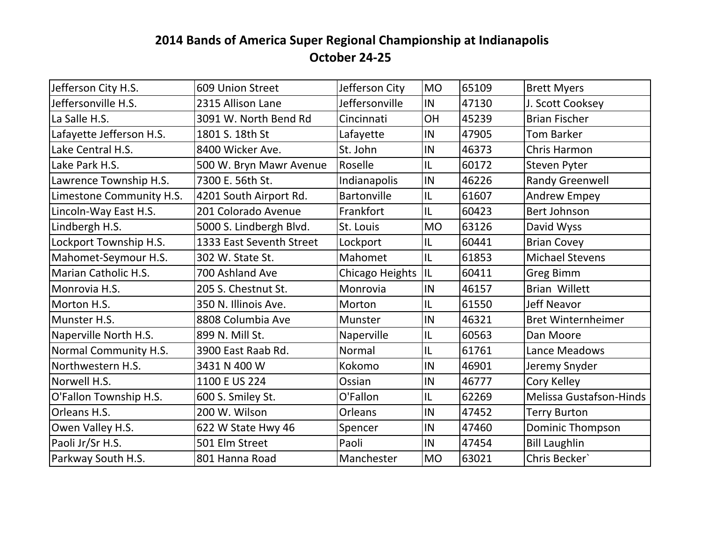## **2014 Bands of America Super Regional Championship at Indianapolis October 24-25**

| Jefferson City H.S.      | 609 Union Street         | Jefferson City     | <b>MO</b> | 65109 | <b>Brett Myers</b>             |
|--------------------------|--------------------------|--------------------|-----------|-------|--------------------------------|
| Jeffersonville H.S.      | 2315 Allison Lane        | Jeffersonville     | IN        | 47130 | J. Scott Cooksey               |
| La Salle H.S.            | 3091 W. North Bend Rd    | Cincinnati         | OH        | 45239 | <b>Brian Fischer</b>           |
| Lafayette Jefferson H.S. | 1801 S. 18th St          | Lafayette          | IN        | 47905 | <b>Tom Barker</b>              |
| Lake Central H.S.        | 8400 Wicker Ave.         | St. John           | IN        | 46373 | <b>Chris Harmon</b>            |
| Lake Park H.S.           | 500 W. Bryn Mawr Avenue  | Roselle            | IL        | 60172 | Steven Pyter                   |
| Lawrence Township H.S.   | 7300 E. 56th St.         | Indianapolis       | IN        | 46226 | <b>Randy Greenwell</b>         |
| Limestone Community H.S. | 4201 South Airport Rd.   | <b>Bartonville</b> | IL        | 61607 | <b>Andrew Empey</b>            |
| Lincoln-Way East H.S.    | 201 Colorado Avenue      | Frankfort          | IL        | 60423 | <b>Bert Johnson</b>            |
| Lindbergh H.S.           | 5000 S. Lindbergh Blvd.  | St. Louis          | <b>MO</b> | 63126 | David Wyss                     |
| Lockport Township H.S.   | 1333 East Seventh Street | Lockport           | IL        | 60441 | <b>Brian Covey</b>             |
| Mahomet-Seymour H.S.     | 302 W. State St.         | Mahomet            | IL        | 61853 | <b>Michael Stevens</b>         |
| Marian Catholic H.S.     | 700 Ashland Ave          | Chicago Heights    | IL        | 60411 | <b>Greg Bimm</b>               |
| Monrovia H.S.            | 205 S. Chestnut St.      | Monrovia           | IN        | 46157 | <b>Brian Willett</b>           |
| Morton H.S.              | 350 N. Illinois Ave.     | Morton             | IL        | 61550 | <b>Jeff Neavor</b>             |
| Munster H.S.             | 8808 Columbia Ave        | Munster            | IN        | 46321 | <b>Bret Winternheimer</b>      |
| Naperville North H.S.    | 899 N. Mill St.          | Naperville         | IL        | 60563 | Dan Moore                      |
| Normal Community H.S.    | 3900 East Raab Rd.       | Normal             | IL        | 61761 | Lance Meadows                  |
| Northwestern H.S.        | 3431 N 400 W             | Kokomo             | IN        | 46901 | Jeremy Snyder                  |
| Norwell H.S.             | 1100 E US 224            | Ossian             | IN        | 46777 | Cory Kelley                    |
| O'Fallon Township H.S.   | 600 S. Smiley St.        | O'Fallon           | IL        | 62269 | <b>Melissa Gustafson-Hinds</b> |
| Orleans H.S.             | 200 W. Wilson            | <b>Orleans</b>     | IN        | 47452 | <b>Terry Burton</b>            |
| Owen Valley H.S.         | 622 W State Hwy 46       | Spencer            | IN        | 47460 | Dominic Thompson               |
| Paoli Jr/Sr H.S.         | 501 Elm Street           | Paoli              | IN        | 47454 | <b>Bill Laughlin</b>           |
| Parkway South H.S.       | 801 Hanna Road           | Manchester         | <b>MO</b> | 63021 | Chris Becker'                  |